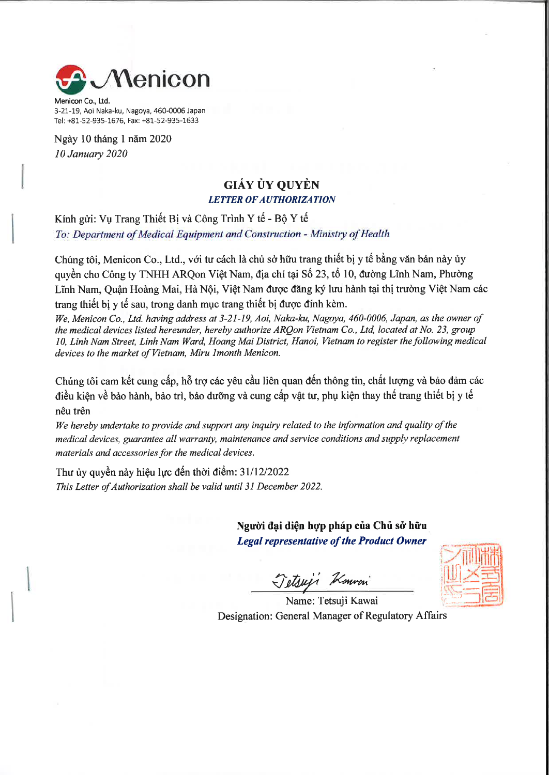

Menicon Co., Ltd. 3-21-19, Aoi Naka-ku, Nagoya, 460-0006 Japan Tel: +81-52-935-1676, Fax: +81-52-935-1633

Ngày 10 tháng 1 năm 2020 **10 January 2020** 

## **GIÁY ỦY OUYỀN LETTER OF AUTHORIZATION**

Kính gửi: Vu Trang Thiết Bị và Công Trình Y tế - Bộ Y tế To: Department of Medical Equipment and Construction - Ministry of Health

Chúng tôi, Menicon Co., Ltd., với tư cách là chủ sở hữu trang thiết bị y tế bằng văn bản này ủy quyền cho Công ty TNHH ARQon Việt Nam, địa chỉ tại Số 23, tổ 10, đường Lĩnh Nam, Phường Lĩnh Nam, Quân Hoàng Mai, Hà Nội, Việt Nam được đăng ký lưu hành tại thị trường Việt Nam các trang thiết bị y tế sau, trong danh mục trang thiết bị được đính kèm.

We, Menicon Co., Ltd. having address at 3-21-19, Aoi, Naka-ku, Nagoya, 460-0006, Japan, as the owner of the medical devices listed hereunder, hereby authorize ARQon Vietnam Co., Ltd, located at No. 23, group 10, Linh Nam Street, Linh Nam Ward, Hoang Mai District, Hanoi, Vietnam to register the following medical devices to the market of Vietnam, Miru Imonth Menicon.

Chúng tôi cam kết cung cấp, hỗ trợ các yêu cầu liên quan đến thông tin, chất lượng và bảo đảm các điều kiên về bảo hành, bảo trì, bảo dưỡng và cung cấp vật tư, phụ kiện thay thế trang thiết bị y tế nêu trên

We hereby undertake to provide and support any inquiry related to the information and quality of the medical devices, guarantee all warranty, maintenance and service conditions and supply replacement materials and accessories for the medical devices.

Thư ủy quyền này hiệu lực đến thời điểm: 31/12/2022 This Letter of Authorization shall be valid until 31 December 2022.

> Người đại diện hợp pháp của Chủ sở hữu **Legal representative of the Product Owner**

Jetsus Konvon



Name: Tetsuji Kawai Designation: General Manager of Regulatory Affairs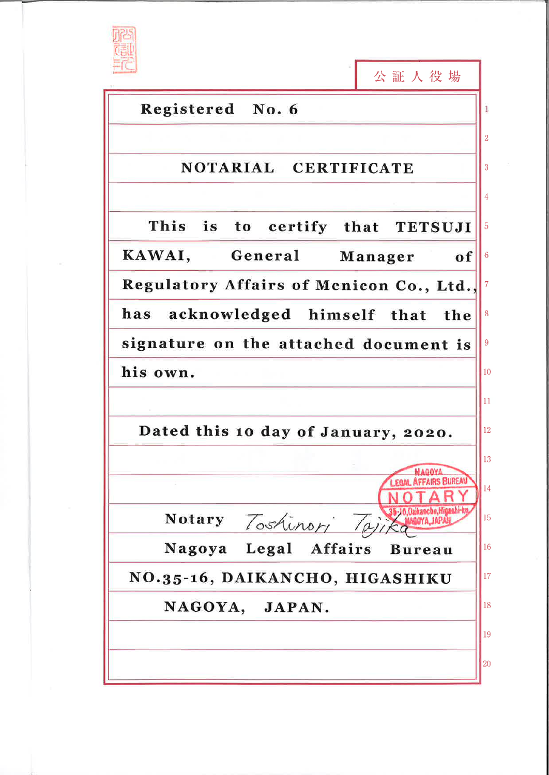

|                                              | 公証人役場                            |
|----------------------------------------------|----------------------------------|
| Registered No. 6                             |                                  |
|                                              |                                  |
| NOTARIAL CERTIFICATE                         |                                  |
|                                              |                                  |
| This is to certify that TETSUJI              | 5                                |
| KAWAI,<br>General                            | Manager<br>$6\phantom{1}6$<br>of |
| Regulatory Affairs of Menicon Co., Ltd.,     |                                  |
| acknowledged himself that<br>has<br>the<br>8 |                                  |
| signature on the attached document is        |                                  |
| his own.                                     |                                  |
|                                              | 11                               |
| Dated this 10 day of January, 2020.          |                                  |
|                                              | 13<br>MAGOYA                     |
|                                              | EGAL AFFAIRS BUREA<br>14         |
| Notary Toshinori Taji                        | 15                               |
| Nagoya Legal Affairs                         | 16<br><b>Bureau</b>              |
| NO.35-16, DAIKANCHO, HIGASHIKU               |                                  |
| NAGOYA, JAPAN.                               |                                  |
|                                              | 19                               |
|                                              | 20                               |
|                                              |                                  |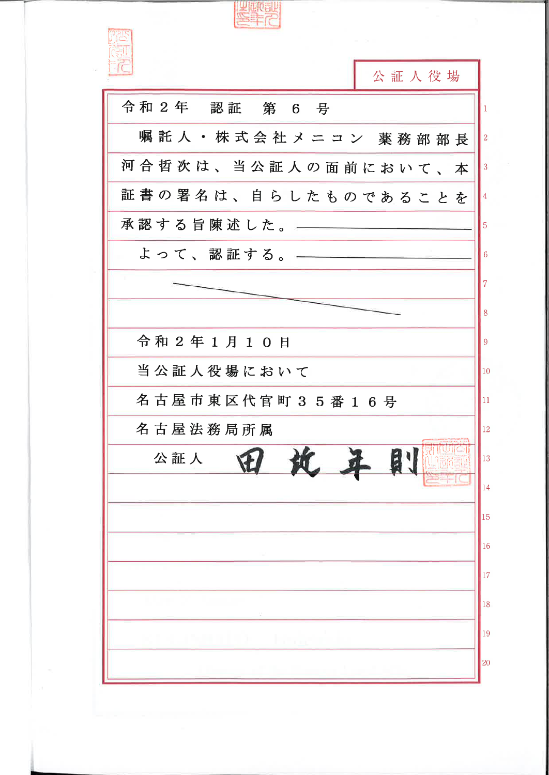**Represe** 公証人役場 令和2年 認証 第 6 号 嘱託人·株式会社メニコン 薬務部部長 河合哲次は、当公証人の面前において、本  $\vert$  3 証書の署名は、自らしたものであることを 承認する旨陳述した。–– よって、認証する。-6 8 令和2年1月10日 9 当公証人役場において  $|10\rangle$ 名古屋市東区代官町35番16号 11 名古屋法務局所属  $\vert$ 12 田坎年則 公証人  $\vert$ 13 14  $\vert_{15}$  $\vert_{16}$  $\vert_{17}$  $\vert$ 18  $\vert$  19 20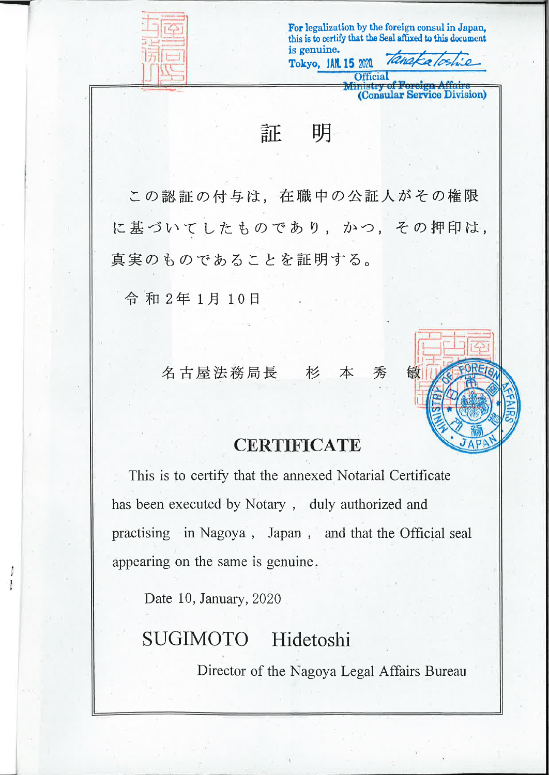

For legalization by the foreign consul in Japan. this is to certify that the Seal affixed to this document is genuine. Rhako

**Example 15 Foreign Affairs**<br>(Consular Service Division)

敏

**Official** 

証 明

Tokyo, JAN. 15 2020

この認証の付与は、在職中の公証人がその権限 に基づいてしたものであり、かつ、その押印は, 真実のものであることを証明する。

令和2年1月10日

名古屋法務局長 杉 本 秀

## **CERTIFICATE**

This is to certify that the annexed Notarial Certificate has been executed by Notary, duly authorized and practising in Nagoya, Japan, and that the Official seal appearing on the same is genuine.

Date 10, January, 2020

## **SUGIMOTO** Hidetoshi

Director of the Nagoya Legal Affairs Bureau